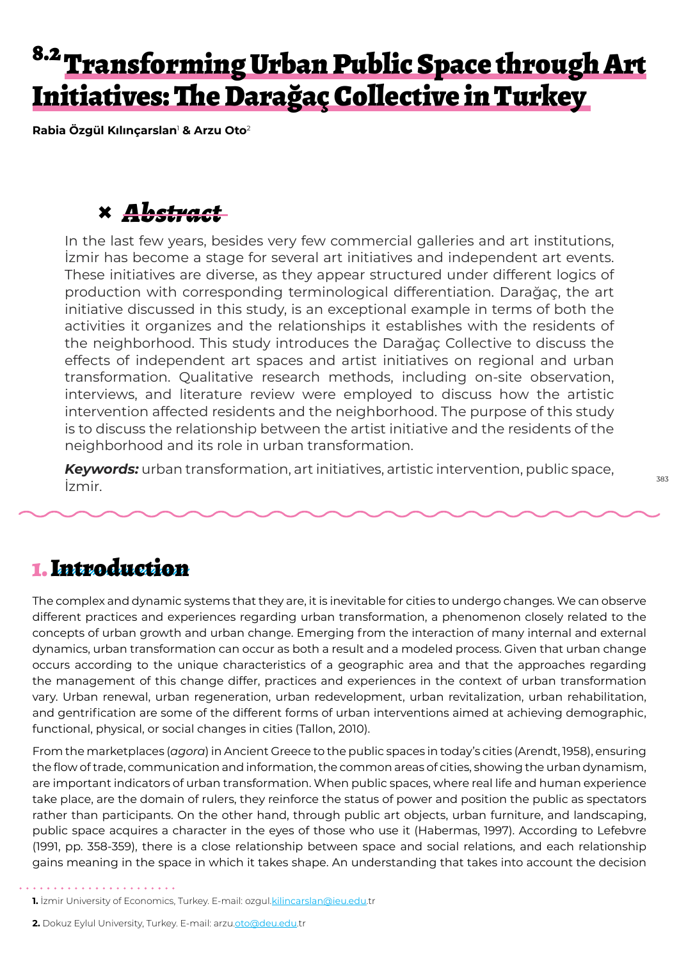# 8.2 Transforming Urban Public Space through Art Initiatives: The Darağaç Collective in Turkey

**Rabia Özgül Kılınçarslan**<sup>1</sup> **& Arzu Oto**<sup>2</sup>

## **×** *Abstract*

In the last few years, besides very few commercial galleries and art institutions, İzmir has become a stage for several art initiatives and independent art events. These initiatives are diverse, as they appear structured under different logics of production with corresponding terminological differentiation. Darağaç, the art initiative discussed in this study, is an exceptional example in terms of both the activities it organizes and the relationships it establishes with the residents of the neighborhood. This study introduces the Darağaç Collective to discuss the effects of independent art spaces and artist initiatives on regional and urban transformation. Qualitative research methods, including on-site observation, interviews, and literature review were employed to discuss how the artistic intervention affected residents and the neighborhood. The purpose of this study is to discuss the relationship between the artist initiative and the residents of the neighborhood and its role in urban transformation.

*Keywords:* urban transformation, art initiatives, artistic intervention, public space, İzmir.

### 1. Introduction

The complex and dynamic systems that they are, it is inevitable for cities to undergo changes. We can observe different practices and experiences regarding urban transformation, a phenomenon closely related to the concepts of urban growth and urban change. Emerging from the interaction of many internal and external dynamics, urban transformation can occur as both a result and a modeled process. Given that urban change occurs according to the unique characteristics of a geographic area and that the approaches regarding the management of this change differ, practices and experiences in the context of urban transformation vary. Urban renewal, urban regeneration, urban redevelopment, urban revitalization, urban rehabilitation, and gentrification are some of the different forms of urban interventions aimed at achieving demographic, functional, physical, or social changes in cities (Tallon, 2010).

From the marketplaces (*agora*) in Ancient Greece to the public spaces in today's cities (Arendt, 1958), ensuring the flow of trade, communication and information, the common areas of cities, showing the urban dynamism, are important indicators of urban transformation. When public spaces, where real life and human experience take place, are the domain of rulers, they reinforce the status of power and position the public as spectators rather than participants. On the other hand, through public art objects, urban furniture, and landscaping, public space acquires a character in the eyes of those who use it (Habermas, 1997). According to Lefebvre (1991, pp. 358-359), there is a close relationship between space and social relations, and each relationship gains meaning in the space in which it takes shape. An understanding that takes into account the decision

383

<sup>1.</sup> İzmir University of Economics, Turkey. E-mail: ozgul.kilincarslan@ieu.edu.tr

**<sup>2.</sup>** Dokuz Eylul University, Turkey. E-mail: arzu.oto@deu.edu.tr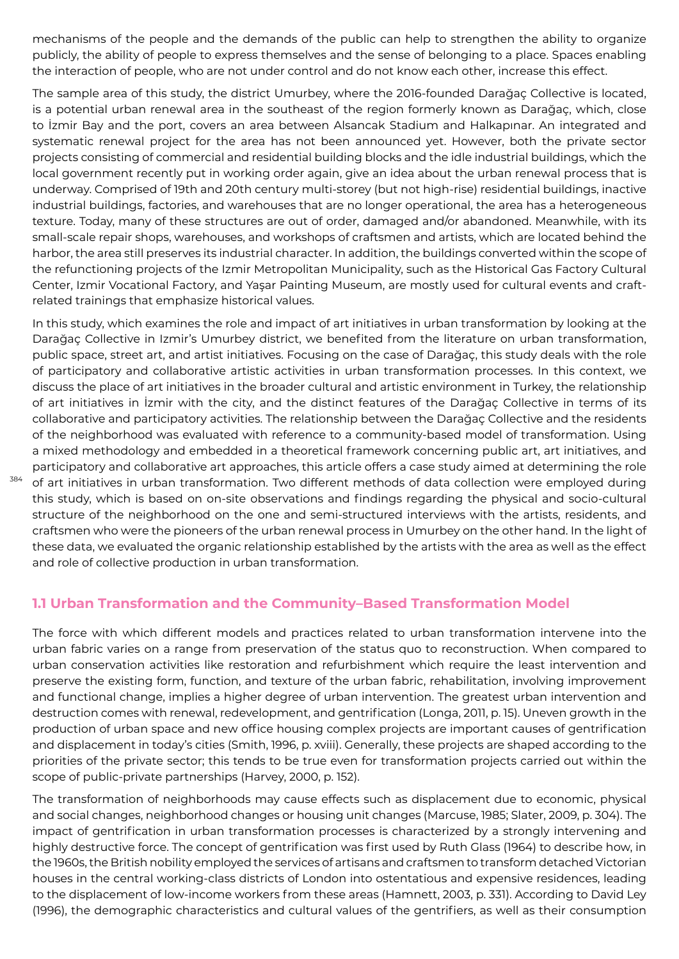mechanisms of the people and the demands of the public can help to strengthen the ability to organize publicly, the ability of people to express themselves and the sense of belonging to a place. Spaces enabling the interaction of people, who are not under control and do not know each other, increase this effect.

The sample area of this study, the district Umurbey, where the 2016-founded Darağaç Collective is located, is a potential urban renewal area in the southeast of the region formerly known as Darağaç, which, close to İzmir Bay and the port, covers an area between Alsancak Stadium and Halkapınar. An integrated and systematic renewal project for the area has not been announced yet. However, both the private sector projects consisting of commercial and residential building blocks and the idle industrial buildings, which the local government recently put in working order again, give an idea about the urban renewal process that is underway. Comprised of 19th and 20th century multi-storey (but not high-rise) residential buildings, inactive industrial buildings, factories, and warehouses that are no longer operational, the area has a heterogeneous texture. Today, many of these structures are out of order, damaged and/or abandoned. Meanwhile, with its small-scale repair shops, warehouses, and workshops of craftsmen and artists, which are located behind the harbor, the area still preserves its industrial character. In addition, the buildings converted within the scope of the refunctioning projects of the Izmir Metropolitan Municipality, such as the Historical Gas Factory Cultural Center, Izmir Vocational Factory, and Yaşar Painting Museum, are mostly used for cultural events and craftrelated trainings that emphasize historical values.

In this study, which examines the role and impact of art initiatives in urban transformation by looking at the Darağaç Collective in Izmir's Umurbey district, we benefited from the literature on urban transformation, public space, street art, and artist initiatives. Focusing on the case of Darağaç, this study deals with the role of participatory and collaborative artistic activities in urban transformation processes. In this context, we discuss the place of art initiatives in the broader cultural and artistic environment in Turkey, the relationship of art initiatives in İzmir with the city, and the distinct features of the Darağaç Collective in terms of its collaborative and participatory activities. The relationship between the Darağaç Collective and the residents of the neighborhood was evaluated with reference to a community-based model of transformation. Using a mixed methodology and embedded in a theoretical framework concerning public art, art initiatives, and participatory and collaborative art approaches, this article offers a case study aimed at determining the role of art initiatives in urban transformation. Two different methods of data collection were employed during this study, which is based on on-site observations and findings regarding the physical and socio-cultural structure of the neighborhood on the one and semi-structured interviews with the artists, residents, and craftsmen who were the pioneers of the urban renewal process in Umurbey on the other hand. In the light of these data, we evaluated the organic relationship established by the artists with the area as well as the effect and role of collective production in urban transformation.

#### **1.1 Urban Transformation and the Community–Based Transformation Model**

384

The force with which different models and practices related to urban transformation intervene into the urban fabric varies on a range from preservation of the status quo to reconstruction. When compared to urban conservation activities like restoration and refurbishment which require the least intervention and preserve the existing form, function, and texture of the urban fabric, rehabilitation, involving improvement and functional change, implies a higher degree of urban intervention. The greatest urban intervention and destruction comes with renewal, redevelopment, and gentrification (Longa, 2011, p. 15). Uneven growth in the production of urban space and new office housing complex projects are important causes of gentrification and displacement in today's cities (Smith, 1996, p. xviii). Generally, these projects are shaped according to the priorities of the private sector; this tends to be true even for transformation projects carried out within the scope of public-private partnerships (Harvey, 2000, p. 152).

The transformation of neighborhoods may cause effects such as displacement due to economic, physical and social changes, neighborhood changes or housing unit changes (Marcuse, 1985; Slater, 2009, p. 304). The impact of gentrification in urban transformation processes is characterized by a strongly intervening and highly destructive force. The concept of gentrification was first used by Ruth Glass (1964) to describe how, in the 1960s, the British nobility employed the services of artisans and craftsmen to transform detached Victorian houses in the central working-class districts of London into ostentatious and expensive residences, leading to the displacement of low-income workers from these areas (Hamnett, 2003, p. 331). According to David Ley (1996), the demographic characteristics and cultural values of the gentrifiers, as well as their consumption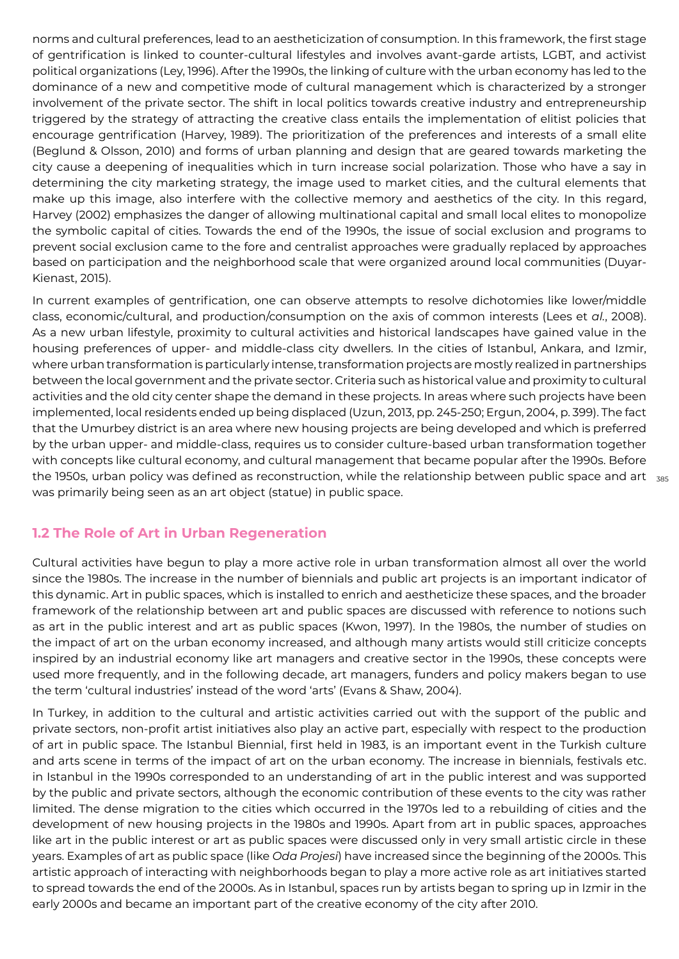norms and cultural preferences, lead to an aestheticization of consumption. In this framework, the first stage of gentrification is linked to counter-cultural lifestyles and involves avant-garde artists, LGBT, and activist political organizations (Ley, 1996). After the 1990s, the linking of culture with the urban economy has led to the dominance of a new and competitive mode of cultural management which is characterized by a stronger involvement of the private sector. The shift in local politics towards creative industry and entrepreneurship triggered by the strategy of attracting the creative class entails the implementation of elitist policies that encourage gentrification (Harvey, 1989). The prioritization of the preferences and interests of a small elite (Beglund & Olsson, 2010) and forms of urban planning and design that are geared towards marketing the city cause a deepening of inequalities which in turn increase social polarization. Those who have a say in determining the city marketing strategy, the image used to market cities, and the cultural elements that make up this image, also interfere with the collective memory and aesthetics of the city. In this regard, Harvey (2002) emphasizes the danger of allowing multinational capital and small local elites to monopolize the symbolic capital of cities. Towards the end of the 1990s, the issue of social exclusion and programs to prevent social exclusion came to the fore and centralist approaches were gradually replaced by approaches based on participation and the neighborhood scale that were organized around local communities (Duyar-Kienast, 2015).

the 1950s, urban policy was defined as reconstruction, while the relationship between public space and art  $_{\rm 385}$ In current examples of gentrification, one can observe attempts to resolve dichotomies like lower/middle class, economic/cultural, and production/consumption on the axis of common interests (Lees et *al.*, 2008). As a new urban lifestyle, proximity to cultural activities and historical landscapes have gained value in the housing preferences of upper- and middle-class city dwellers. In the cities of Istanbul, Ankara, and Izmir, where urban transformation is particularly intense, transformation projects are mostly realized in partnerships between the local government and the private sector. Criteria such as historical value and proximity to cultural activities and the old city center shape the demand in these projects. In areas where such projects have been implemented, local residents ended up being displaced (Uzun, 2013, pp. 245-250; Ergun, 2004, p. 399). The fact that the Umurbey district is an area where new housing projects are being developed and which is preferred by the urban upper- and middle-class, requires us to consider culture-based urban transformation together with concepts like cultural economy, and cultural management that became popular after the 1990s. Before was primarily being seen as an art object (statue) in public space.

### **1.2 The Role of Art in Urban Regeneration**

Cultural activities have begun to play a more active role in urban transformation almost all over the world since the 1980s. The increase in the number of biennials and public art projects is an important indicator of this dynamic. Art in public spaces, which is installed to enrich and aestheticize these spaces, and the broader framework of the relationship between art and public spaces are discussed with reference to notions such as art in the public interest and art as public spaces (Kwon, 1997). In the 1980s, the number of studies on the impact of art on the urban economy increased, and although many artists would still criticize concepts inspired by an industrial economy like art managers and creative sector in the 1990s, these concepts were used more frequently, and in the following decade, art managers, funders and policy makers began to use the term 'cultural industries' instead of the word 'arts' (Evans & Shaw, 2004).

In Turkey, in addition to the cultural and artistic activities carried out with the support of the public and private sectors, non-profit artist initiatives also play an active part, especially with respect to the production of art in public space. The Istanbul Biennial, first held in 1983, is an important event in the Turkish culture and arts scene in terms of the impact of art on the urban economy. The increase in biennials, festivals etc. in Istanbul in the 1990s corresponded to an understanding of art in the public interest and was supported by the public and private sectors, although the economic contribution of these events to the city was rather limited. The dense migration to the cities which occurred in the 1970s led to a rebuilding of cities and the development of new housing projects in the 1980s and 1990s. Apart from art in public spaces, approaches like art in the public interest or art as public spaces were discussed only in very small artistic circle in these years. Examples of art as public space (like *Oda Projesi*) have increased since the beginning of the 2000s. This artistic approach of interacting with neighborhoods began to play a more active role as art initiatives started to spread towards the end of the 2000s. As in Istanbul, spaces run by artists began to spring up in Izmir in the early 2000s and became an important part of the creative economy of the city after 2010.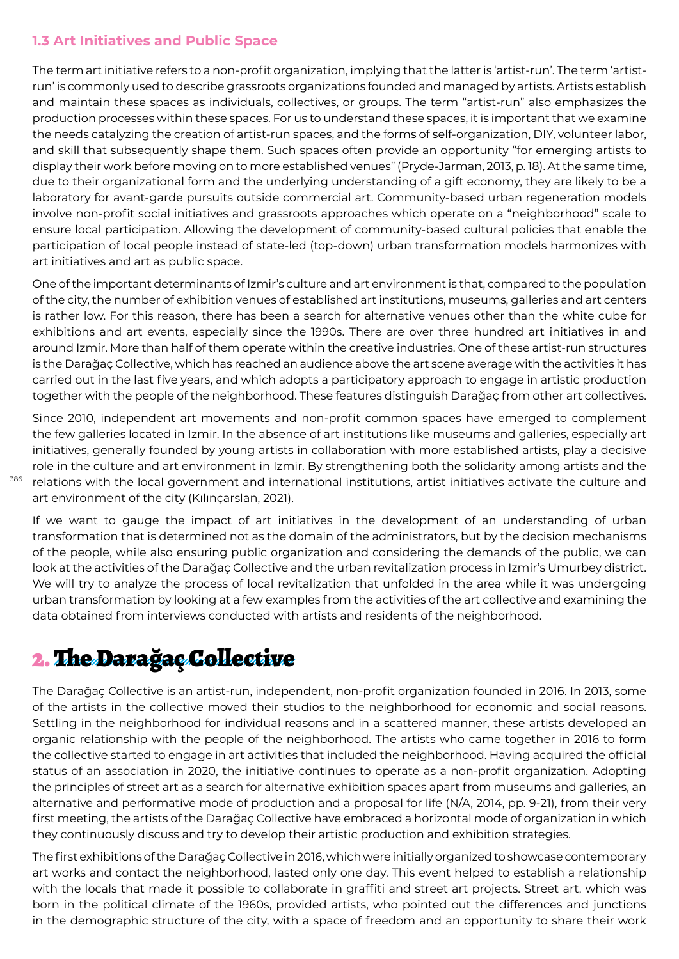### **1.3 Art Initiatives and Public Space**

The term art initiative refers to a non-profit organization, implying that the latter is 'artist-run'. The term 'artistrun' is commonly used to describe grassroots organizations founded and managed by artists. Artists establish and maintain these spaces as individuals, collectives, or groups. The term "artist-run" also emphasizes the production processes within these spaces. For us to understand these spaces, it is important that we examine the needs catalyzing the creation of artist-run spaces, and the forms of self-organization, DIY, volunteer labor, and skill that subsequently shape them. Such spaces often provide an opportunity "for emerging artists to display their work before moving on to more established venues" (Pryde-Jarman, 2013, p. 18). At the same time, due to their organizational form and the underlying understanding of a gift economy, they are likely to be a laboratory for avant-garde pursuits outside commercial art. Community-based urban regeneration models involve non-profit social initiatives and grassroots approaches which operate on a "neighborhood" scale to ensure local participation. Allowing the development of community-based cultural policies that enable the participation of local people instead of state-led (top-down) urban transformation models harmonizes with art initiatives and art as public space.

One of the important determinants of Izmir's culture and art environment is that, compared to the population of the city, the number of exhibition venues of established art institutions, museums, galleries and art centers is rather low. For this reason, there has been a search for alternative venues other than the white cube for exhibitions and art events, especially since the 1990s. There are over three hundred art initiatives in and around Izmir. More than half of them operate within the creative industries. One of these artist-run structures is the Darağaç Collective, which has reached an audience above the art scene average with the activities it has carried out in the last five years, and which adopts a participatory approach to engage in artistic production together with the people of the neighborhood. These features distinguish Darağaç from other art collectives.

Since 2010, independent art movements and non-profit common spaces have emerged to complement the few galleries located in Izmir. In the absence of art institutions like museums and galleries, especially art initiatives, generally founded by young artists in collaboration with more established artists, play a decisive role in the culture and art environment in Izmir. By strengthening both the solidarity among artists and the relations with the local government and international institutions, artist initiatives activate the culture and art environment of the city (Kılınçarslan, 2021).

If we want to gauge the impact of art initiatives in the development of an understanding of urban transformation that is determined not as the domain of the administrators, but by the decision mechanisms of the people, while also ensuring public organization and considering the demands of the public, we can look at the activities of the Darağaç Collective and the urban revitalization process in Izmir's Umurbey district. We will try to analyze the process of local revitalization that unfolded in the area while it was undergoing urban transformation by looking at a few examples from the activities of the art collective and examining the data obtained from interviews conducted with artists and residents of the neighborhood.

# 2. The Darağaç Collective

The Darağaç Collective is an artist-run, independent, non-profit organization founded in 2016. In 2013, some of the artists in the collective moved their studios to the neighborhood for economic and social reasons. Settling in the neighborhood for individual reasons and in a scattered manner, these artists developed an organic relationship with the people of the neighborhood. The artists who came together in 2016 to form the collective started to engage in art activities that included the neighborhood. Having acquired the official status of an association in 2020, the initiative continues to operate as a non-profit organization. Adopting the principles of street art as a search for alternative exhibition spaces apart from museums and galleries, an alternative and performative mode of production and a proposal for life (N/A, 2014, pp. 9-21), from their very first meeting, the artists of the Darağaç Collective have embraced a horizontal mode of organization in which they continuously discuss and try to develop their artistic production and exhibition strategies.

The first exhibitions of the Darağaç Collective in 2016, which were initially organized to showcase contemporary art works and contact the neighborhood, lasted only one day. This event helped to establish a relationship with the locals that made it possible to collaborate in graffiti and street art projects. Street art, which was born in the political climate of the 1960s, provided artists, who pointed out the differences and junctions in the demographic structure of the city, with a space of freedom and an opportunity to share their work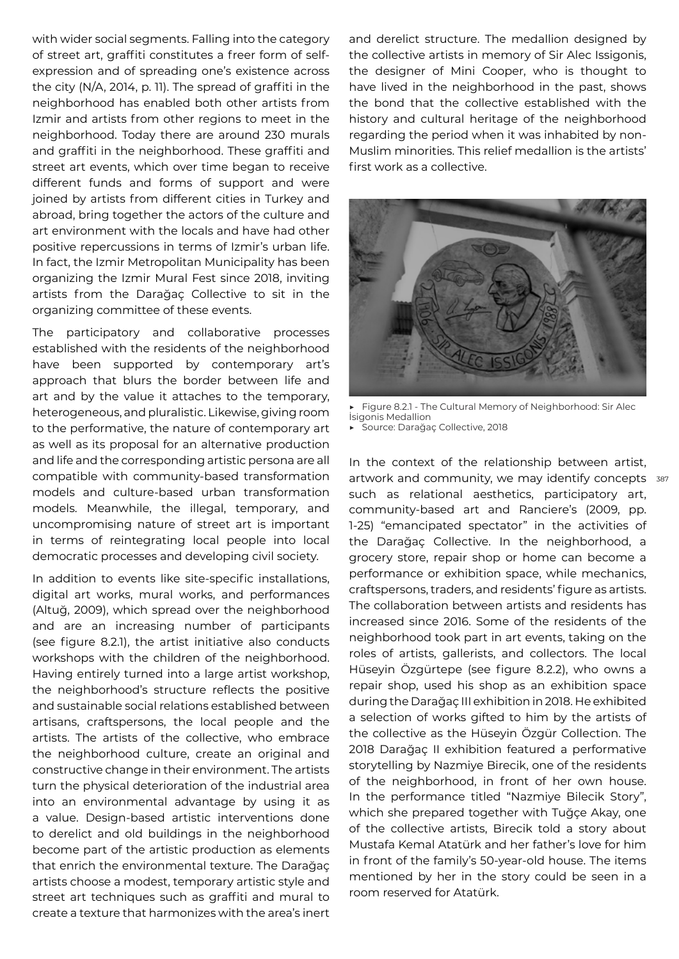with wider social segments. Falling into the category of street art, graffiti constitutes a freer form of selfexpression and of spreading one's existence across the city (N/A, 2014, p. 11). The spread of graffiti in the neighborhood has enabled both other artists from Izmir and artists from other regions to meet in the neighborhood. Today there are around 230 murals and graffiti in the neighborhood. These graffiti and street art events, which over time began to receive different funds and forms of support and were joined by artists from different cities in Turkey and abroad, bring together the actors of the culture and art environment with the locals and have had other positive repercussions in terms of Izmir's urban life. In fact, the Izmir Metropolitan Municipality has been organizing the Izmir Mural Fest since 2018, inviting artists from the Darağaç Collective to sit in the organizing committee of these events.

The participatory and collaborative processes established with the residents of the neighborhood have been supported by contemporary art's approach that blurs the border between life and art and by the value it attaches to the temporary, heterogeneous, and pluralistic. Likewise, giving room to the performative, the nature of contemporary art as well as its proposal for an alternative production and life and the corresponding artistic persona are all compatible with community-based transformation models and culture-based urban transformation models. Meanwhile, the illegal, temporary, and uncompromising nature of street art is important in terms of reintegrating local people into local democratic processes and developing civil society.

In addition to events like site-specific installations, digital art works, mural works, and performances (Altuğ, 2009), which spread over the neighborhood and are an increasing number of participants (see figure 8.2.1), the artist initiative also conducts workshops with the children of the neighborhood. Having entirely turned into a large artist workshop, the neighborhood's structure reflects the positive and sustainable social relations established between artisans, craftspersons, the local people and the artists. The artists of the collective, who embrace the neighborhood culture, create an original and constructive change in their environment. The artists turn the physical deterioration of the industrial area into an environmental advantage by using it as a value. Design-based artistic interventions done to derelict and old buildings in the neighborhood become part of the artistic production as elements that enrich the environmental texture. The Darağaç artists choose a modest, temporary artistic style and street art techniques such as graffiti and mural to create a texture that harmonizes with the area's inert and derelict structure. The medallion designed by the collective artists in memory of Sir Alec Issigonis, the designer of Mini Cooper, who is thought to have lived in the neighborhood in the past, shows the bond that the collective established with the history and cultural heritage of the neighborhood regarding the period when it was inhabited by non-Muslim minorities. This relief medallion is the artists' first work as a collective.



Figure 8.2.1 - The Cultural Memory of Neighborhood: Sir Alec İsigonis Medallion

Source: Darağaç Collective, 2018

artwork and community, we may identify concepts 387 In the context of the relationship between artist, such as relational aesthetics, participatory art, community-based art and Ranciere's (2009, pp. 1-25) "emancipated spectator" in the activities of the Darağaç Collective. In the neighborhood, a grocery store, repair shop or home can become a performance or exhibition space, while mechanics, craftspersons, traders, and residents' figure as artists. The collaboration between artists and residents has increased since 2016. Some of the residents of the neighborhood took part in art events, taking on the roles of artists, gallerists, and collectors. The local Hüseyin Özgürtepe (see figure 8.2.2), who owns a repair shop, used his shop as an exhibition space during the Darağaç III exhibition in 2018. He exhibited a selection of works gifted to him by the artists of the collective as the Hüseyin Özgür Collection. The 2018 Darağaç II exhibition featured a performative storytelling by Nazmiye Birecik, one of the residents of the neighborhood, in front of her own house. In the performance titled "Nazmiye Bilecik Story", which she prepared together with Tuğçe Akay, one of the collective artists, Birecik told a story about Mustafa Kemal Atatürk and her father's love for him in front of the family's 50-year-old house. The items mentioned by her in the story could be seen in a room reserved for Atatürk.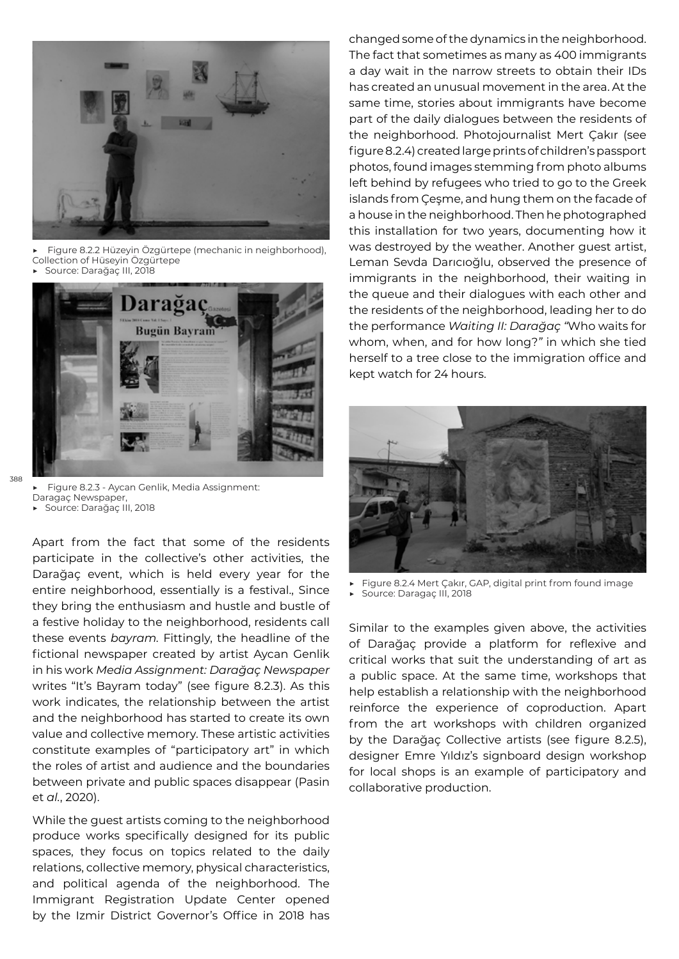

Figure 8.2.2 Hüzeyin Özgürtepe (mechanic in neighborhood), Collection of Hüseyin Özgürtepe



388



Figure 8.2.3 - Aycan Genlik, Media Assignment: Daragaç Newspaper, ▶ Source: Darağaç III, 2018

Apart from the fact that some of the residents participate in the collective's other activities, the Darağaç event, which is held every year for the entire neighborhood, essentially is a festival., Since they bring the enthusiasm and hustle and bustle of a festive holiday to the neighborhood, residents call these events *bayram.* Fittingly, the headline of the fictional newspaper created by artist Aycan Genlik in his work *Media Assignment: Darağaç Newspaper* writes "It's Bayram today" (see figure 8.2.3). As this work indicates, the relationship between the artist and the neighborhood has started to create its own value and collective memory. These artistic activities constitute examples of "participatory art" in which the roles of artist and audience and the boundaries between private and public spaces disappear (Pasin et *al.*, 2020).

While the guest artists coming to the neighborhood produce works specifically designed for its public spaces, they focus on topics related to the daily relations, collective memory, physical characteristics, and political agenda of the neighborhood. The Immigrant Registration Update Center opened by the Izmir District Governor's Office in 2018 has

changed some of the dynamics in the neighborhood. The fact that sometimes as many as 400 immigrants a day wait in the narrow streets to obtain their IDs has created an unusual movement in the area. At the same time, stories about immigrants have become part of the daily dialogues between the residents of the neighborhood. Photojournalist Mert Çakır (see figure 8.2.4) created large prints of children's passport photos, found images stemming from photo albums left behind by refugees who tried to go to the Greek islands from Çeşme, and hung them on the facade of a house in the neighborhood. Then he photographed this installation for two years, documenting how it was destroyed by the weather. Another guest artist, Leman Sevda Darıcıoğlu, observed the presence of immigrants in the neighborhood, their waiting in the queue and their dialogues with each other and the residents of the neighborhood, leading her to do the performance *Waiting II: Darağaç "*Who waits for whom, when, and for how long?*"* in which she tied herself to a tree close to the immigration office and kept watch for 24 hours.



▶ Figure 8.2.4 Mert Çakır, GAP, digital print from found image Source: Daragaç III, 2018

Similar to the examples given above, the activities of Darağaç provide a platform for reflexive and critical works that suit the understanding of art as a public space. At the same time, workshops that help establish a relationship with the neighborhood reinforce the experience of coproduction. Apart from the art workshops with children organized by the Darağaç Collective artists (see figure 8.2.5), designer Emre Yıldız's signboard design workshop for local shops is an example of participatory and collaborative production.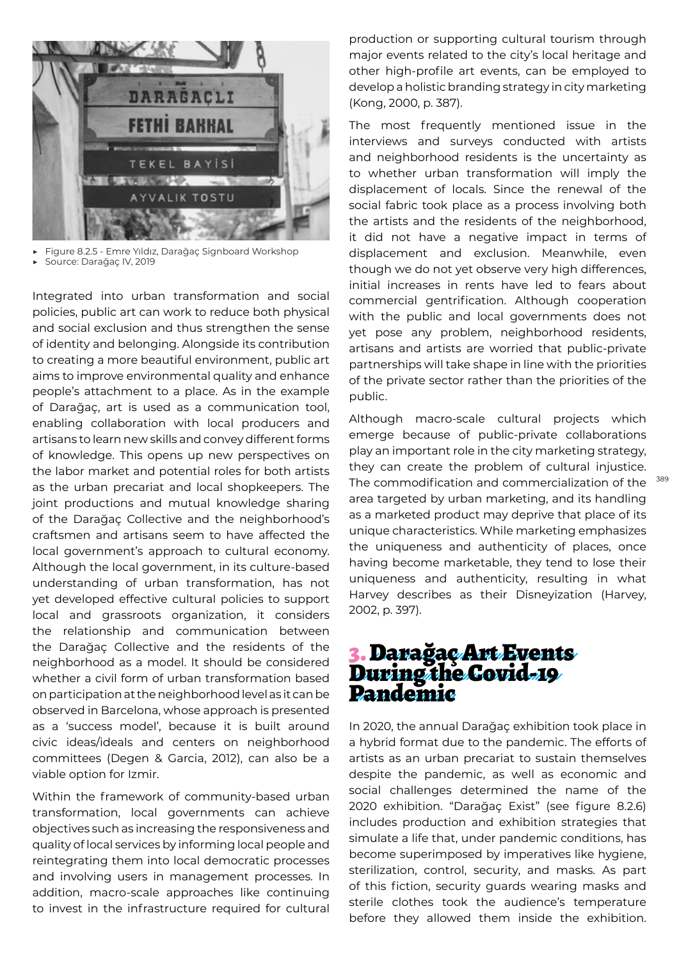

▶ Figure 8.2.5 - Emre Yıldız, Darağaç Signboard Workshop

Source: Darağaç IV, 2019

Integrated into urban transformation and social policies, public art can work to reduce both physical and social exclusion and thus strengthen the sense of identity and belonging. Alongside its contribution to creating a more beautiful environment, public art aims to improve environmental quality and enhance people's attachment to a place. As in the example of Darağaç, art is used as a communication tool, enabling collaboration with local producers and artisans to learn new skills and convey different forms of knowledge. This opens up new perspectives on the labor market and potential roles for both artists as the urban precariat and local shopkeepers. The joint productions and mutual knowledge sharing of the Darağaç Collective and the neighborhood's craftsmen and artisans seem to have affected the local government's approach to cultural economy. Although the local government, in its culture-based understanding of urban transformation, has not yet developed effective cultural policies to support local and grassroots organization, it considers the relationship and communication between the Darağaç Collective and the residents of the neighborhood as a model. It should be considered whether a civil form of urban transformation based on participation at the neighborhood level as it can be observed in Barcelona, whose approach is presented as a 'success model', because it is built around civic ideas/ideals and centers on neighborhood committees (Degen & Garcia, 2012), can also be a viable option for Izmir.

Within the framework of community-based urban transformation, local governments can achieve objectives such as increasing the responsiveness and quality of local services by informing local people and reintegrating them into local democratic processes and involving users in management processes. In addition, macro-scale approaches like continuing to invest in the infrastructure required for cultural production or supporting cultural tourism through major events related to the city's local heritage and other high-profile art events, can be employed to develop a holistic branding strategy in city marketing (Kong, 2000, p. 387).

The most frequently mentioned issue in the interviews and surveys conducted with artists and neighborhood residents is the uncertainty as to whether urban transformation will imply the displacement of locals. Since the renewal of the social fabric took place as a process involving both the artists and the residents of the neighborhood, it did not have a negative impact in terms of displacement and exclusion. Meanwhile, even though we do not yet observe very high differences, initial increases in rents have led to fears about commercial gentrification. Although cooperation with the public and local governments does not yet pose any problem, neighborhood residents, artisans and artists are worried that public-private partnerships will take shape in line with the priorities of the private sector rather than the priorities of the public.

The commodification and commercialization of the <sup>389</sup> Although macro-scale cultural projects which emerge because of public-private collaborations play an important role in the city marketing strategy, they can create the problem of cultural injustice. area targeted by urban marketing, and its handling as a marketed product may deprive that place of its unique characteristics. While marketing emphasizes the uniqueness and authenticity of places, once having become marketable, they tend to lose their uniqueness and authenticity, resulting in what Harvey describes as their Disneyization (Harvey, 2002, p. 397).

### 3. Darağaç Art Events During the Covid-19 Pandemic

In 2020, the annual Darağaç exhibition took place in a hybrid format due to the pandemic. The efforts of artists as an urban precariat to sustain themselves despite the pandemic, as well as economic and social challenges determined the name of the 2020 exhibition. "Darağaç Exist" (see figure 8.2.6) includes production and exhibition strategies that simulate a life that, under pandemic conditions, has become superimposed by imperatives like hygiene, sterilization, control, security, and masks. As part of this fiction, security guards wearing masks and sterile clothes took the audience's temperature before they allowed them inside the exhibition.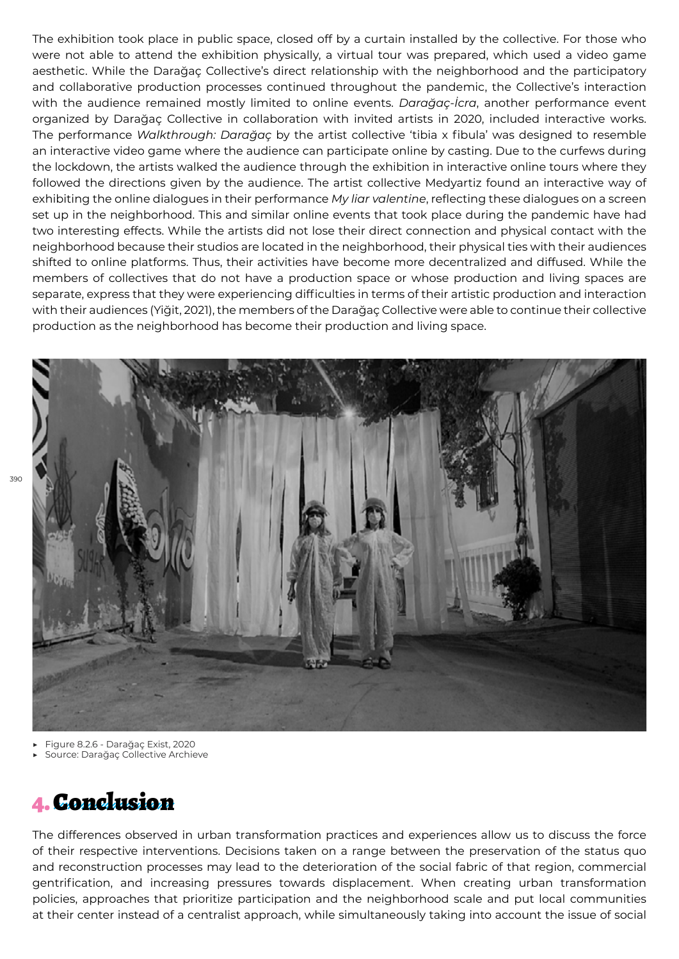The exhibition took place in public space, closed off by a curtain installed by the collective. For those who were not able to attend the exhibition physically, a virtual tour was prepared, which used a video game aesthetic. While the Darağaç Collective's direct relationship with the neighborhood and the participatory and collaborative production processes continued throughout the pandemic, the Collective's interaction with the audience remained mostly limited to online events. *Darağaç-İcra*, another performance event organized by Darağaç Collective in collaboration with invited artists in 2020, included interactive works. The performance *Walkthrough: Darağaç* by the artist collective 'tibia x fibula' was designed to resemble an interactive video game where the audience can participate online by casting. Due to the curfews during the lockdown, the artists walked the audience through the exhibition in interactive online tours where they followed the directions given by the audience. The artist collective Medyartiz found an interactive way of exhibiting the online dialogues in their performance *My liar valentine*, reflecting these dialogues on a screen set up in the neighborhood. This and similar online events that took place during the pandemic have had two interesting effects. While the artists did not lose their direct connection and physical contact with the neighborhood because their studios are located in the neighborhood, their physical ties with their audiences shifted to online platforms. Thus, their activities have become more decentralized and diffused. While the members of collectives that do not have a production space or whose production and living spaces are separate, express that they were experiencing difficulties in terms of their artistic production and interaction with their audiences (Yiğit, 2021), the members of the Darağaç Collective were able to continue their collective production as the neighborhood has become their production and living space.



- ▶ Figure 8.2.6 Darağaç Exist, 2020
- Source: Darağaç Collective Archieve

# 4. Conclusion

The differences observed in urban transformation practices and experiences allow us to discuss the force of their respective interventions. Decisions taken on a range between the preservation of the status quo and reconstruction processes may lead to the deterioration of the social fabric of that region, commercial gentrification, and increasing pressures towards displacement. When creating urban transformation policies, approaches that prioritize participation and the neighborhood scale and put local communities at their center instead of a centralist approach, while simultaneously taking into account the issue of social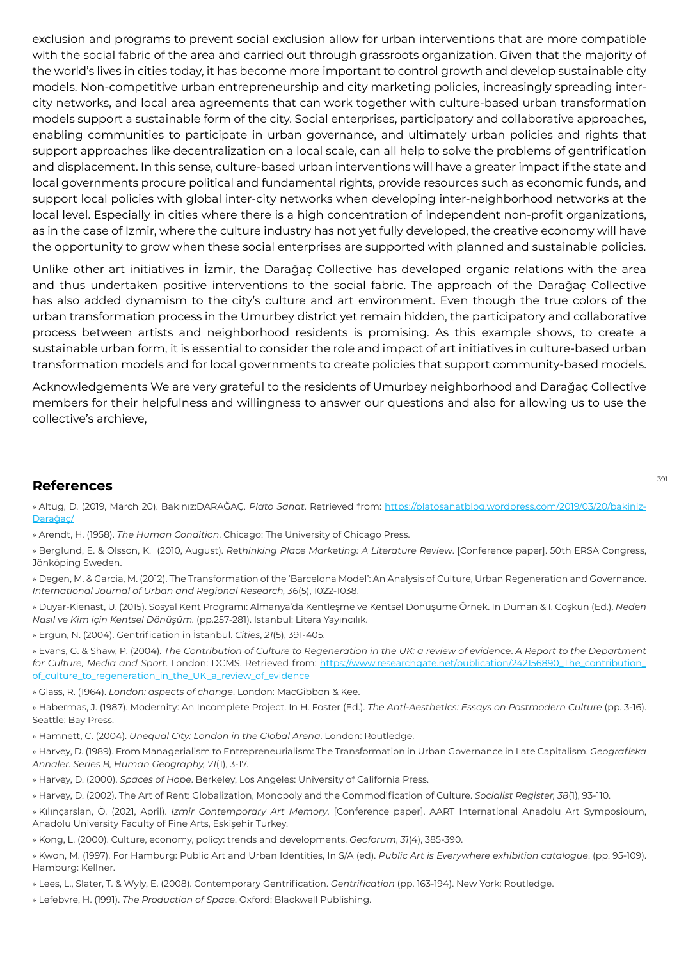exclusion and programs to prevent social exclusion allow for urban interventions that are more compatible with the social fabric of the area and carried out through grassroots organization. Given that the majority of the world's lives in cities today, it has become more important to control growth and develop sustainable city models. Non-competitive urban entrepreneurship and city marketing policies, increasingly spreading intercity networks, and local area agreements that can work together with culture-based urban transformation models support a sustainable form of the city. Social enterprises, participatory and collaborative approaches, enabling communities to participate in urban governance, and ultimately urban policies and rights that support approaches like decentralization on a local scale, can all help to solve the problems of gentrification and displacement. In this sense, culture-based urban interventions will have a greater impact if the state and local governments procure political and fundamental rights, provide resources such as economic funds, and support local policies with global inter-city networks when developing inter-neighborhood networks at the local level. Especially in cities where there is a high concentration of independent non-profit organizations, as in the case of Izmir, where the culture industry has not yet fully developed, the creative economy will have the opportunity to grow when these social enterprises are supported with planned and sustainable policies.

Unlike other art initiatives in İzmir, the Darağaç Collective has developed organic relations with the area and thus undertaken positive interventions to the social fabric. The approach of the Darağaç Collective has also added dynamism to the city's culture and art environment. Even though the true colors of the urban transformation process in the Umurbey district yet remain hidden, the participatory and collaborative process between artists and neighborhood residents is promising. As this example shows, to create a sustainable urban form, it is essential to consider the role and impact of art initiatives in culture-based urban transformation models and for local governments to create policies that support community-based models.

Acknowledgements We are very grateful to the residents of Umurbey neighborhood and Darağaç Collective members for their helpfulness and willingness to answer our questions and also for allowing us to use the collective's archieve,

#### **References**

» Altug, D. (2019, March 20). Bakınız:DARAĞAÇ. *Plato Sanat*. Retrieved from: https://platosanatblog.wordpress.com/2019/03/20/bakiniz-Darağaç/

» Arendt, H. (1958). *The Human Condition*. Chicago: The University of Chicago Press.

» Berglund, E. & Olsson, K. (2010, August). *R*et*hinking Place Mark*et*ing: A Literature Review*. [Conference paper]. 50th ERSA Congress, Jönköping Sweden.

» Degen, M. & Garcia, M. (2012). The Transformation of the 'Barcelona Model': An Analysis of Culture, Urban Regeneration and Governance. *International Journal of Urban and Regional Research, 36*(5), 1022-1038.

» Duyar-Kienast, U. (2015). Sosyal Kent Programı: Almanya'da Kentleşme ve Kentsel Dönüşüme Örnek. In Duman & I. Coşkun (Ed.). *Neden Nasıl ve Kim için Kentsel Dönüşüm.* (pp.257-281). Istanbul: Litera Yayıncılık.

» Ergun, N. (2004). Gentrification in İstanbul. *Cities*, *21*(5), 391-405.

» Evans, G. & Shaw, P. (2004). *The Contribution of Culture to Regeneration in the UK: a review of evidence*. *A Report to the Department for Culture, Media and Sport*. London: DCMS. Retrieved from: https://www.researchgate.net/publication/242156890\_The\_contribution\_ of\_culture\_to\_regeneration\_in\_the\_UK\_a\_review\_of\_evidence

» Glass, R. (1964). *London: aspects of change*. London: MacGibbon & Kee.

» Habermas, J. (1987). Modernity: An Incomplete Project. In H. Foster (Ed.). *The Anti-Aesth*et*ics: Essays on Postmodern Culture* (pp. 3-16). Seattle: Bay Press.

» Hamnett, C. (2004). *Unequal City: London in the Global Arena*. London: Routledge.

» Harvey, D. (1989). From Managerialism to Entrepreneurialism: The Transformation in Urban Governance in Late Capitalism. *Geografiska Annaler. Series B, Human Geography, 71*(1), 3-17.

» Harvey, D. (2000). *Spaces of Hope*. Berkeley, Los Angeles: University of California Press.

» Harvey, D. (2002). The Art of Rent: Globalization, Monopoly and the Commodification of Culture. *Socialist Register, 38*(1), 93-110.

» Kılınçarslan, Ö. (2021, April). *Izmir Contemporary Art Memory*. [Conference paper]. AART International Anadolu Art Symposioum, Anadolu University Faculty of Fine Arts, Eskişehir Turkey.

» Kong, L. (2000). Culture, economy, policy: trends and developments. *Geoforum*, *31*(4), 385-390.

» Kwon, M. (1997). For Hamburg: Public Art and Urban Identities, In S/A (ed). *Public Art is Everywhere exhibition catalogue*. (pp. 95-109). Hamburg: Kellner.

» Lees, L., Slater, T. & Wyly, E. (2008). Contemporary Gentrification. *Gentrification* (pp. 163-194). New York: Routledge.

» Lefebvre, H. (1991). *The Production of Space*. Oxford: Blackwell Publishing.